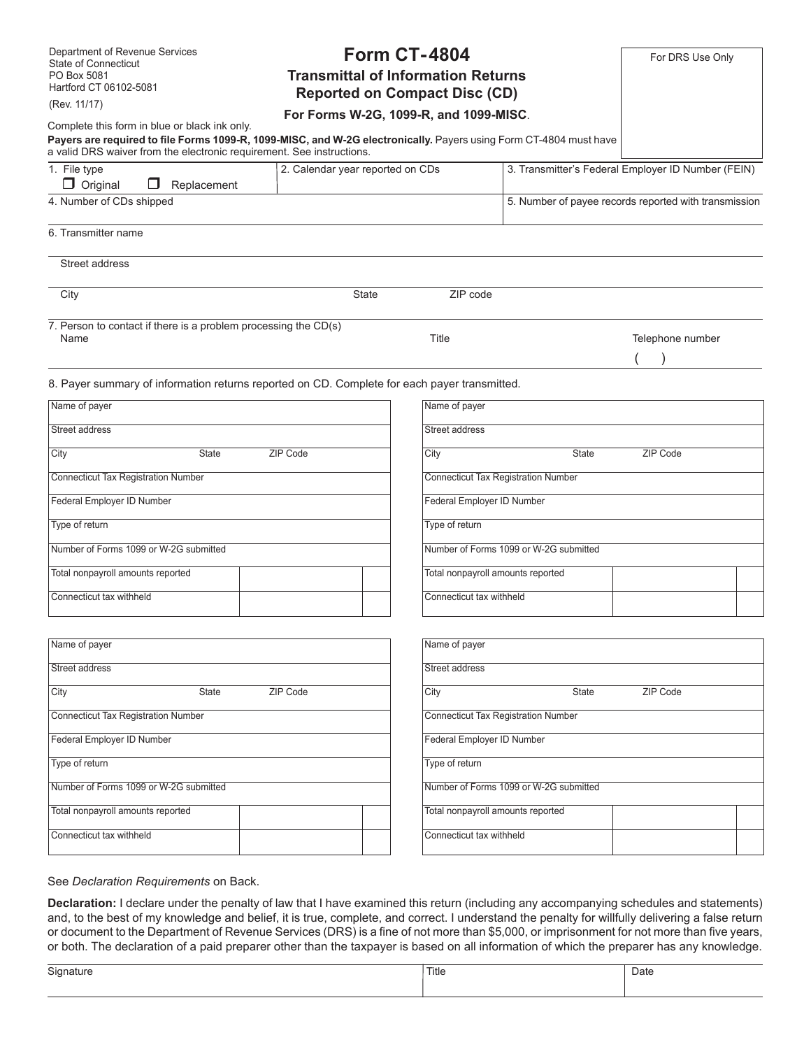| Department of Revenue Services<br><b>Form CT-4804</b>                                                                                                                                      |                |                                        |                                            | For DRS Use Only                                      |  |
|--------------------------------------------------------------------------------------------------------------------------------------------------------------------------------------------|----------------|----------------------------------------|--------------------------------------------|-------------------------------------------------------|--|
| <b>State of Connecticut</b><br><b>Transmittal of Information Returns</b><br>PO Box 5081                                                                                                    |                |                                        |                                            |                                                       |  |
| Hartford CT 06102-5081<br><b>Reported on Compact Disc (CD)</b>                                                                                                                             |                |                                        |                                            |                                                       |  |
| (Rev. 11/17)                                                                                                                                                                               |                |                                        |                                            |                                                       |  |
| Complete this form in blue or black ink only.                                                                                                                                              |                | For Forms W-2G, 1099-R, and 1099-MISC. |                                            |                                                       |  |
| Payers are required to file Forms 1099-R, 1099-MISC, and W-2G electronically. Payers using Form CT-4804 must have<br>a valid DRS waiver from the electronic requirement. See instructions. |                |                                        |                                            |                                                       |  |
| 1. File type<br>$\Box$ Original<br>Replacement<br>$\mathbf{1}$                                                                                                                             |                | 2. Calendar year reported on CDs       |                                            | 3. Transmitter's Federal Employer ID Number (FEIN)    |  |
| 4. Number of CDs shipped                                                                                                                                                                   |                |                                        |                                            | 5. Number of payee records reported with transmission |  |
| 6. Transmitter name                                                                                                                                                                        |                |                                        |                                            |                                                       |  |
| Street address                                                                                                                                                                             |                |                                        |                                            |                                                       |  |
| City                                                                                                                                                                                       | <b>State</b>   | ZIP code                               |                                            |                                                       |  |
| 7. Person to contact if there is a problem processing the CD(s)                                                                                                                            |                |                                        |                                            |                                                       |  |
| Name                                                                                                                                                                                       | Title          |                                        | Telephone number                           |                                                       |  |
|                                                                                                                                                                                            |                |                                        |                                            |                                                       |  |
| 8. Payer summary of information returns reported on CD. Complete for each payer transmitted.                                                                                               |                |                                        |                                            |                                                       |  |
| Name of payer                                                                                                                                                                              |                | Name of payer                          |                                            |                                                       |  |
| Street address                                                                                                                                                                             |                | <b>Street address</b>                  |                                            |                                                       |  |
| City<br><b>State</b>                                                                                                                                                                       | ZIP Code       | City                                   | <b>State</b>                               | ZIP Code                                              |  |
| <b>Connecticut Tax Registration Number</b>                                                                                                                                                 |                |                                        | <b>Connecticut Tax Registration Number</b> |                                                       |  |
| Federal Employer ID Number                                                                                                                                                                 |                | Federal Employer ID Number             |                                            |                                                       |  |
| Type of return                                                                                                                                                                             |                | Type of return                         |                                            |                                                       |  |
| Number of Forms 1099 or W-2G submitted                                                                                                                                                     |                |                                        | Number of Forms 1099 or W-2G submitted     |                                                       |  |
| Total nonpayroll amounts reported                                                                                                                                                          |                | Total nonpayroll amounts reported      |                                            |                                                       |  |
| Connecticut tax withheld                                                                                                                                                                   |                | Connecticut tax withheld               |                                            |                                                       |  |
| Name of payer                                                                                                                                                                              |                | Name of payer                          |                                            |                                                       |  |
| Street address                                                                                                                                                                             |                | <b>Street address</b>                  |                                            |                                                       |  |
| City<br>State                                                                                                                                                                              | ZIP Code       | City                                   | State                                      | ZIP Code                                              |  |
| <b>Connecticut Tax Registration Number</b>                                                                                                                                                 |                |                                        | <b>Connecticut Tax Registration Number</b> |                                                       |  |
| Federal Employer ID Number                                                                                                                                                                 |                |                                        | Federal Employer ID Number                 |                                                       |  |
| Type of return                                                                                                                                                                             | Type of return |                                        |                                            |                                                       |  |
| Number of Forms 1099 or W-2G submitted                                                                                                                                                     |                |                                        | Number of Forms 1099 or W-2G submitted     |                                                       |  |
| Total nonpayroll amounts reported                                                                                                                                                          |                | Total nonpayroll amounts reported      |                                            |                                                       |  |
| Connecticut tax withheld                                                                                                                                                                   |                | Connecticut tax withheld               |                                            |                                                       |  |
|                                                                                                                                                                                            |                |                                        |                                            |                                                       |  |
| See Declaration Requirements on Back.                                                                                                                                                      |                |                                        |                                            |                                                       |  |
| Declaration: I declare under the penalty of law that I have examined this return (including any accompanying schedules and statements)                                                     |                |                                        |                                            |                                                       |  |
| and to the best of my knowledge and belief it is true, complete, and correct. Lunderstand the penalty for willfully delivering a false return                                              |                |                                        |                                            |                                                       |  |

and, to the best of my knowledge and belief, it is true, complete, and correct. I understand the penalty for willfully delivering a false return or document to the Department of Revenue Services (DRS) is a fine of not more than \$5,000, or imprisonment for not more than five years, or both. The declaration of a paid preparer other than the taxpayer is based on all information of which the preparer has any knowledge.

| $\sim$<br>nature<br>Sint<br>. . | Title | Date |
|---------------------------------|-------|------|
|                                 |       |      |